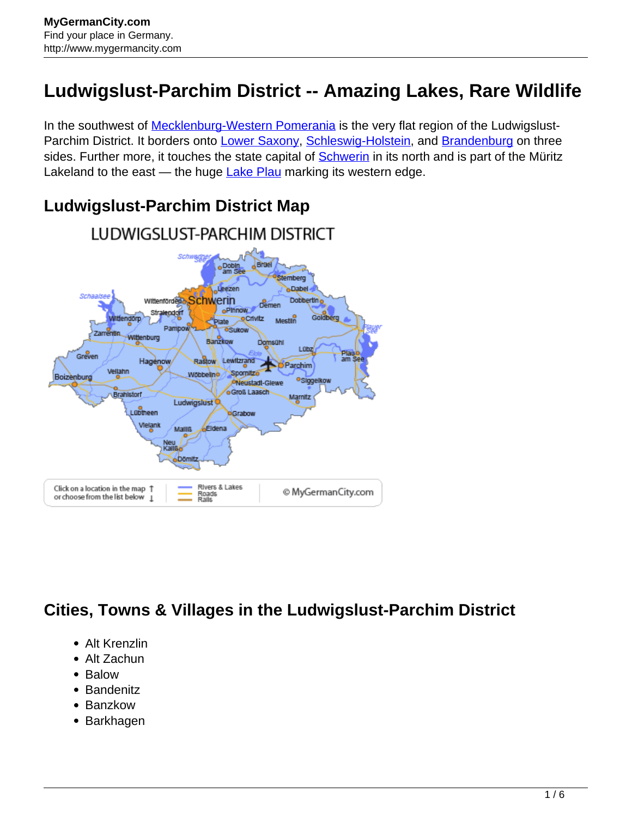## **Ludwigslust-Parchim District -- Amazing Lakes, Rare Wildlife**

In the southwest of **[Mecklenburg-Western Pomerania](http://www.mygermancity.com/mecklenburg-western-pomerania)** is the very flat region of the Ludwigslust-Parchim District. It borders onto [Lower Saxony,](http://www.mygermancity.com/lower-saxony) [Schleswig-Holstein,](http://www.mygermancity.com/schleswig-holstein) and [Brandenburg](http://www.mygermancity.com/brandenburg) on three sides. Further more, it touches the state capital of **Schwerin** in its north and is part of the Müritz Lakeland to the east — the huge [Lake Plau](http://www.mygermancity.com/lake-plau) marking its western edge.



## **Ludwigslust-Parchim District Map**

## **Cities, Towns & Villages in the Ludwigslust-Parchim District**

- Alt Krenzlin
- Alt Zachun
- Balow
- Bandenitz
- Banzkow
- Barkhagen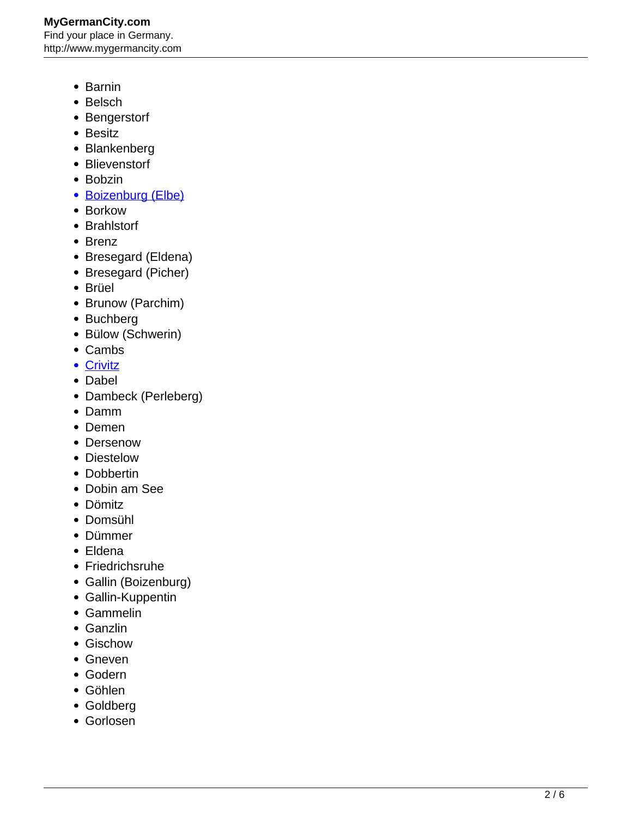- Barnin
- Belsch
- Bengerstorf
- Besitz
- Blankenberg
- Blievenstorf
- Bobzin
- [Boizenburg \(Elbe\)](http://www.mygermancity.com/boizenburg)
- Borkow
- Brahlstorf
- Brenz
- Bresegard (Eldena)
- Bresegard (Picher)
- Brüel
- Brunow (Parchim)
- Buchberg
- Bülow (Schwerin)
- Cambs
- [Crivitz](http://www.mygermancity.com/crivitz)
- Dabel
- Dambeck (Perleberg)
- Damm
- Demen
- Dersenow
- Diestelow
- Dobbertin
- Dobin am See
- Dömitz
- Domsühl
- Dümmer
- Eldena
- Friedrichsruhe
- Gallin (Boizenburg)
- Gallin-Kuppentin
- Gammelin
- Ganzlin
- Gischow
- Gneven
- Godern
- Göhlen
- Goldberg
- Gorlosen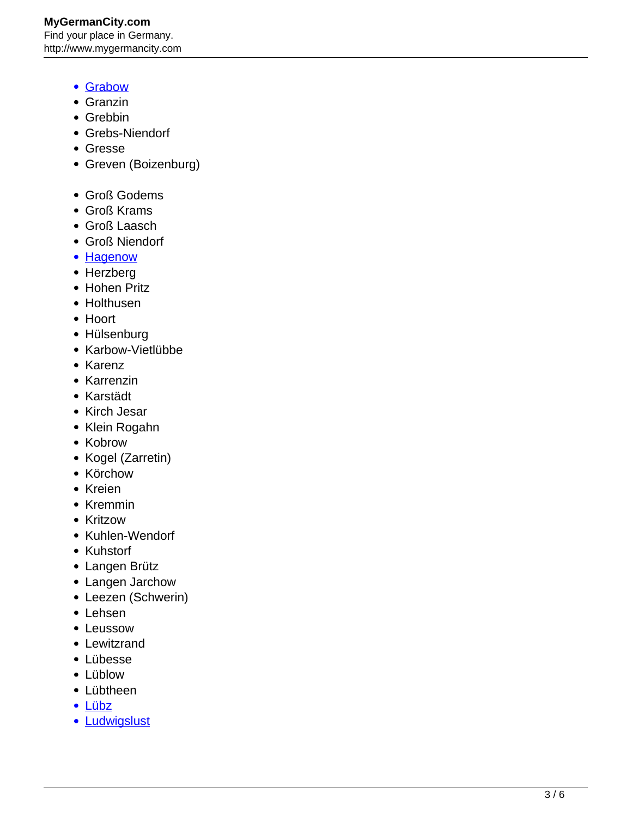**MyGermanCity.com** Find your place in Germany. http://www.mygermancity.com

- [Grabow](http://www.mygermancity.com/grabow)
- Granzin
- Grebbin
- Grebs-Niendorf
- Gresse
- Greven (Boizenburg)
- Groß Godems
- Groß Krams
- Groß Laasch
- Groß Niendorf
- **[Hagenow](http://www.mygermancity.com/hagenow)**
- Herzberg
- Hohen Pritz
- Holthusen
- Hoort
- Hülsenburg
- Karbow-Vietlübbe
- Karenz
- Karrenzin
- Karstädt
- Kirch Jesar
- Klein Rogahn
- Kobrow
- Kogel (Zarretin)
- Körchow
- Kreien
- Kremmin
- Kritzow
- Kuhlen-Wendorf
- Kuhstorf
- Langen Brütz
- Langen Jarchow
- Leezen (Schwerin)
- Lehsen
- Leussow
- Lewitzrand
- Lübesse
- Lüblow
- Lübtheen
- [Lübz](http://www.mygermancity.com/luebz)
- [Ludwigslust](http://www.mygermancity.com/ludwigslust)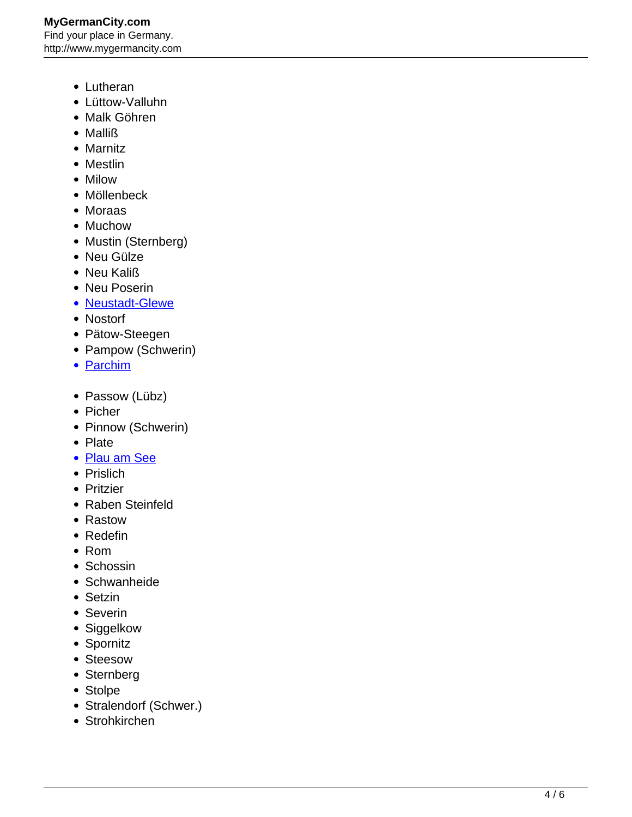- Lutheran
- Lüttow-Valluhn
- Malk Göhren
- Malliß
- Marnitz
- Mestlin
- Milow
- Möllenbeck
- Moraas
- Muchow
- Mustin (Sternberg)
- Neu Gülze
- Neu Kaliß
- Neu Poserin
- [Neustadt-Glewe](http://www.mygermancity.com/neustadt-glewe)
- Nostorf
- Pätow-Steegen
- Pampow (Schwerin)
- [Parchim](http://www.mygermancity.com/parchim)
- Passow (Lübz)
- Picher
- Pinnow (Schwerin)
- Plate
- [Plau am See](http://www.mygermancity.com/plau-am-see)
- Prislich
- Pritzier
- Raben Steinfeld
- Rastow
- Redefin
- Rom
- Schossin
- Schwanheide
- Setzin
- Severin
- Siggelkow
- Spornitz
- Steesow
- Sternberg
- Stolpe
- Stralendorf (Schwer.)
- Strohkirchen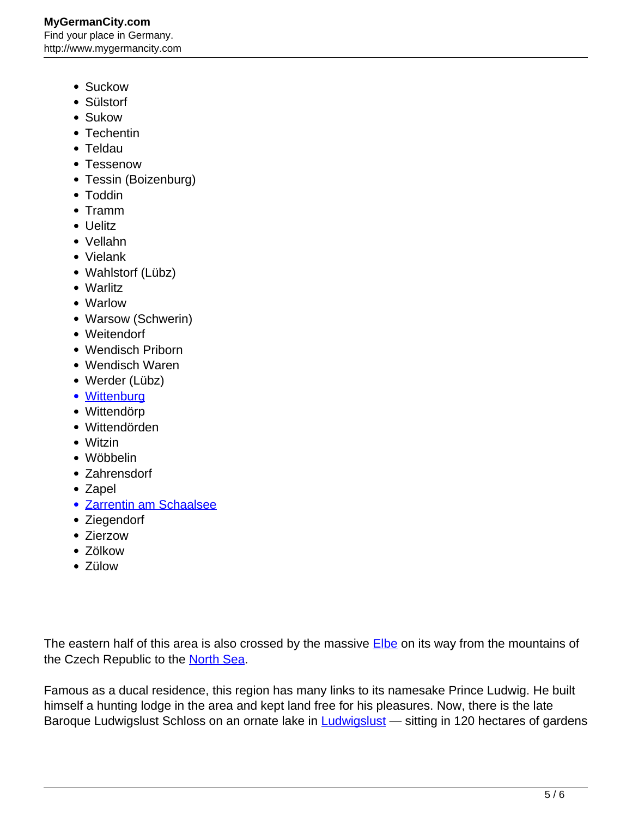- Suckow
- Sülstorf
- Sukow
- Techentin
- Teldau
- Tessenow
- Tessin (Boizenburg)
- Toddin
- Tramm
- Uelitz
- Vellahn
- Vielank
- Wahlstorf (Lübz)
- Warlitz
- Warlow
- Warsow (Schwerin)
- Weitendorf
- Wendisch Priborn
- Wendisch Waren
- Werder (Lübz)
- [Wittenburg](http://www.mygermancity.com/wittenburg)
- Wittendörp
- Wittendörden
- Witzin
- Wöbbelin
- Zahrensdorf
- Zapel
- [Zarrentin am Schaalsee](http://www.mygermancity.com/zarrentin)
- Ziegendorf
- Zierzow
- Zölkow
- Zülow

The eastern half of this area is also crossed by the massive **Elbe** on its way from the mountains of the Czech Republic to the [North Sea](http://www.mygermancity.com/north-sea).

Famous as a ducal residence, this region has many links to its namesake Prince Ludwig. He built himself a hunting lodge in the area and kept land free for his pleasures. Now, there is the late Baroque [Ludwigslust](http://www.mygermancity.com/ludwigslust) Schloss on an ornate lake in **Ludwigslust** — sitting in 120 hectares of gardens